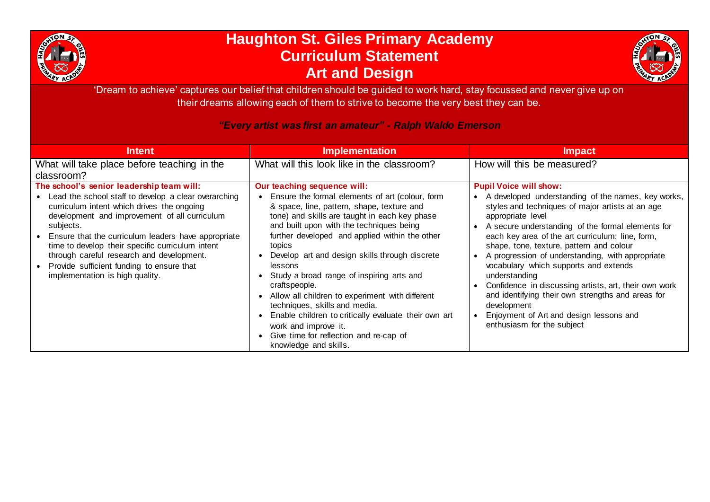

## **Haughton St. Giles Primary Academy Curriculum Statement Art and Design**



'Dream to achieve' captures our belief that children should be guided to work hard, stay focussed and never give up on their dreams allowing each of them to strive to become the very best they can be.

## *"Every artist was first an amateur" - Ralph Waldo Emerson*

| <b>Intent</b>                                                                                                                                                                                                                                                                                                                                                                                                             | <b>Implementation</b>                                                                                                                                                                                                                                                                                                                                                                                                                                                                                                                                                                                                    | <b>Impact</b>                                                                                                                                                                                                                                                                                                                                                                                                                                                                                                                                                                                        |
|---------------------------------------------------------------------------------------------------------------------------------------------------------------------------------------------------------------------------------------------------------------------------------------------------------------------------------------------------------------------------------------------------------------------------|--------------------------------------------------------------------------------------------------------------------------------------------------------------------------------------------------------------------------------------------------------------------------------------------------------------------------------------------------------------------------------------------------------------------------------------------------------------------------------------------------------------------------------------------------------------------------------------------------------------------------|------------------------------------------------------------------------------------------------------------------------------------------------------------------------------------------------------------------------------------------------------------------------------------------------------------------------------------------------------------------------------------------------------------------------------------------------------------------------------------------------------------------------------------------------------------------------------------------------------|
| What will take place before teaching in the<br>classroom?<br>The school's senior leadership team will:                                                                                                                                                                                                                                                                                                                    | What will this look like in the classroom?<br>Our teaching sequence will:                                                                                                                                                                                                                                                                                                                                                                                                                                                                                                                                                | How will this be measured?<br><b>Pupil Voice will show:</b>                                                                                                                                                                                                                                                                                                                                                                                                                                                                                                                                          |
| • Lead the school staff to develop a clear overarching<br>curriculum intent which drives the ongoing<br>development and improvement of all curriculum<br>subjects.<br>Ensure that the curriculum leaders have appropriate<br>$\bullet$<br>time to develop their specific curriculum intent<br>through careful research and development.<br>• Provide sufficient funding to ensure that<br>implementation is high quality. | Ensure the formal elements of art (colour, form<br>& space, line, pattern, shape, texture and<br>tone) and skills are taught in each key phase<br>and built upon with the techniques being<br>further developed and applied within the other<br>topics<br>Develop art and design skills through discrete<br>lessons<br>Study a broad range of inspiring arts and<br>craftspeople.<br>Allow all children to experiment with different<br>techniques, skills and media.<br>Enable children to critically evaluate their own art<br>work and improve it.<br>Give time for reflection and re-cap of<br>knowledge and skills. | A developed understanding of the names, key works,<br>styles and techniques of major artists at an age<br>appropriate level<br>A secure understanding of the formal elements for<br>each key area of the art curriculum: line, form,<br>shape, tone, texture, pattern and colour<br>A progression of understanding, with appropriate<br>vocabulary which supports and extends<br>understanding<br>Confidence in discussing artists, art, their own work<br>and identifying their own strengths and areas for<br>development<br>Enjoyment of Art and design lessons and<br>enthusiasm for the subject |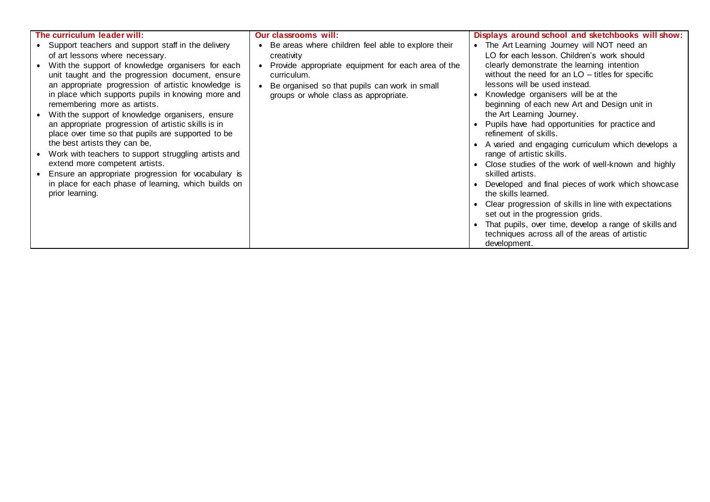| The curriculum leader will:                          | <b>Our classrooms will:</b>                                     | Displays around school and sketchbooks will show:     |
|------------------------------------------------------|-----------------------------------------------------------------|-------------------------------------------------------|
| • Support teachers and support staff in the delivery | Be areas where children feel able to explore their<br>$\bullet$ | • The Art Learning Journey will NOT need an           |
| of art lessons where necessary.                      | creativity                                                      | LO for each lesson. Children's work should            |
| With the support of knowledge organisers for each    | Provide appropriate equipment for each area of the<br>$\bullet$ | clearly demonstrate the learning intention            |
| unit taught and the progression document, ensure     | curriculum.                                                     | without the need for an $LO$ – titles for specific    |
| an appropriate progression of artistic knowledge is  | Be organised so that pupils can work in small                   | lessons will be used instead.                         |
| in place which supports pupils in knowing more and   | groups or whole class as appropriate.                           | Knowledge organisers will be at the                   |
| remembering more as artists.                         |                                                                 | beginning of each new Art and Design unit in          |
| With the support of knowledge organisers, ensure     |                                                                 | the Art Learning Journey.                             |
| an appropriate progression of artistic skills is in  |                                                                 | Pupils have had opportunities for practice and        |
| place over time so that pupils are supported to be   |                                                                 | refinement of skills.                                 |
| the best artists they can be,                        |                                                                 | A varied and engaging curriculum which develops a     |
| Work with teachers to support struggling artists and |                                                                 | range of artistic skills.                             |
| extend more competent artists.                       |                                                                 | Close studies of the work of well-known and highly    |
| Ensure an appropriate progression for vocabulary is  |                                                                 | skilled artists.                                      |
| in place for each phase of learning, which builds on |                                                                 | Developed and final pieces of work which showcase     |
| prior learning.                                      |                                                                 | the skills learned.                                   |
|                                                      |                                                                 | Clear progression of skills in line with expectations |
|                                                      |                                                                 | set out in the progression grids.                     |
|                                                      |                                                                 | That pupils, over time, develop a range of skills and |
|                                                      |                                                                 | techniques across all of the areas of artistic        |
|                                                      |                                                                 | development.                                          |